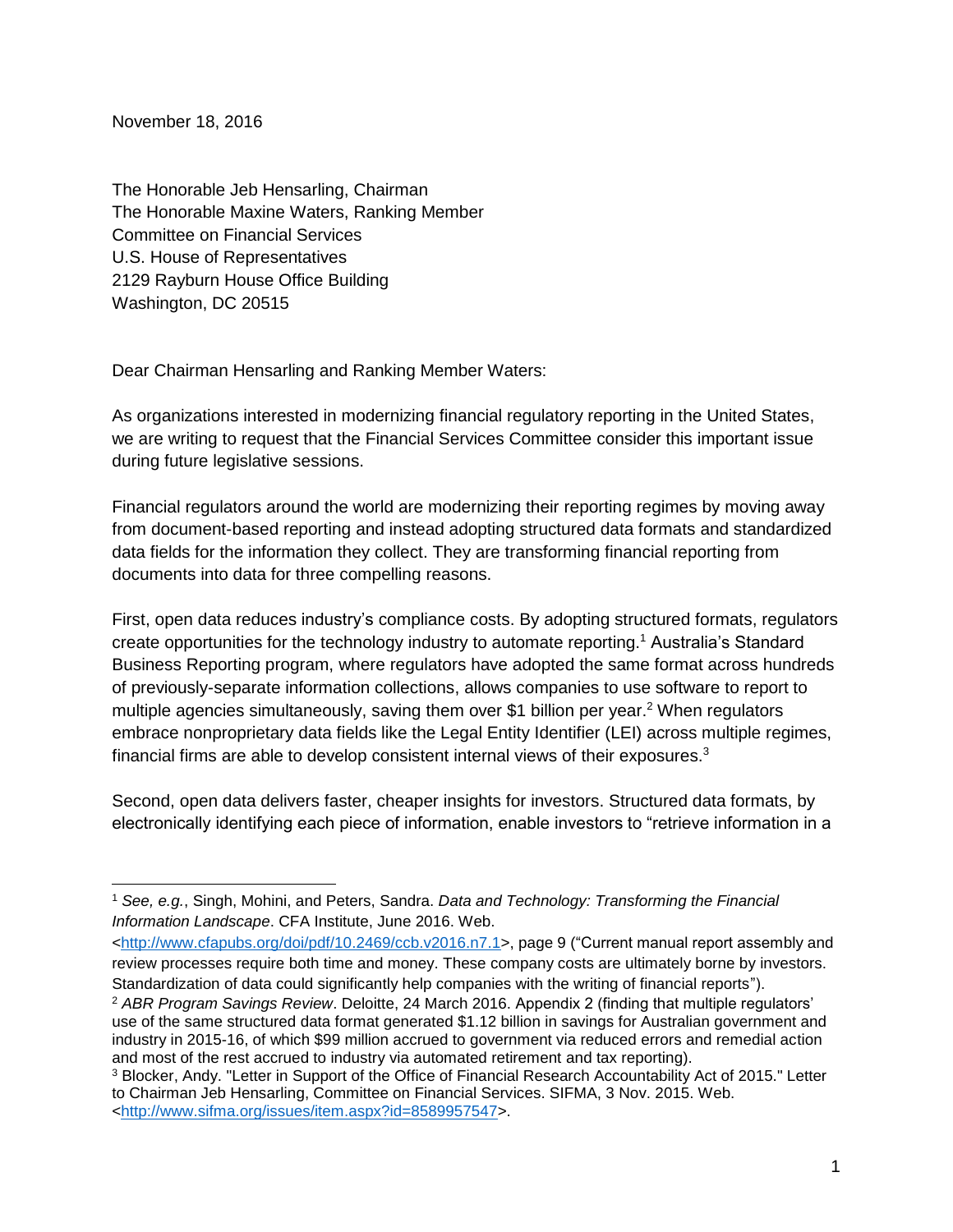November 18, 2016

 $\overline{a}$ 

The Honorable Jeb Hensarling, Chairman The Honorable Maxine Waters, Ranking Member Committee on Financial Services U.S. House of Representatives 2129 Rayburn House Office Building Washington, DC 20515

Dear Chairman Hensarling and Ranking Member Waters:

As organizations interested in modernizing financial regulatory reporting in the United States, we are writing to request that the Financial Services Committee consider this important issue during future legislative sessions.

Financial regulators around the world are modernizing their reporting regimes by moving away from document-based reporting and instead adopting structured data formats and standardized data fields for the information they collect. They are transforming financial reporting from documents into data for three compelling reasons.

First, open data reduces industry's compliance costs. By adopting structured formats, regulators create opportunities for the technology industry to automate reporting.<sup>1</sup> Australia's Standard Business Reporting program, where regulators have adopted the same format across hundreds of previously-separate information collections, allows companies to use software to report to multiple agencies simultaneously, saving them over \$1 billion per year.<sup>2</sup> When regulators embrace nonproprietary data fields like the Legal Entity Identifier (LEI) across multiple regimes, financial firms are able to develop consistent internal views of their exposures.<sup>3</sup>

Second, open data delivers faster, cheaper insights for investors. Structured data formats, by electronically identifying each piece of information, enable investors to "retrieve information in a

[<http://www.cfapubs.org/doi/pdf/10.2469/ccb.v2016.n7.1>](http://www.cfapubs.org/doi/pdf/10.2469/ccb.v2016.n7.1), page 9 ("Current manual report assembly and review processes require both time and money. These company costs are ultimately borne by investors. Standardization of data could significantly help companies with the writing of financial reports").

<sup>1</sup> *See, e.g.*, Singh, Mohini, and Peters, Sandra. *Data and Technology: Transforming the Financial Information Landscape*. CFA Institute, June 2016. Web.

<sup>2</sup> *ABR Program Savings Review*. Deloitte, 24 March 2016. Appendix 2 (finding that multiple regulators' use of the same structured data format generated \$1.12 billion in savings for Australian government and industry in 2015-16, of which \$99 million accrued to government via reduced errors and remedial action and most of the rest accrued to industry via automated retirement and tax reporting).

<sup>3</sup> Blocker, Andy. "Letter in Support of the Office of Financial Research Accountability Act of 2015." Letter to Chairman Jeb Hensarling, Committee on Financial Services. SIFMA, 3 Nov. 2015. Web. [<http://www.sifma.org/issues/item.aspx?id=8589957547>](http://www.sifma.org/issues/item.aspx?id=8589957547).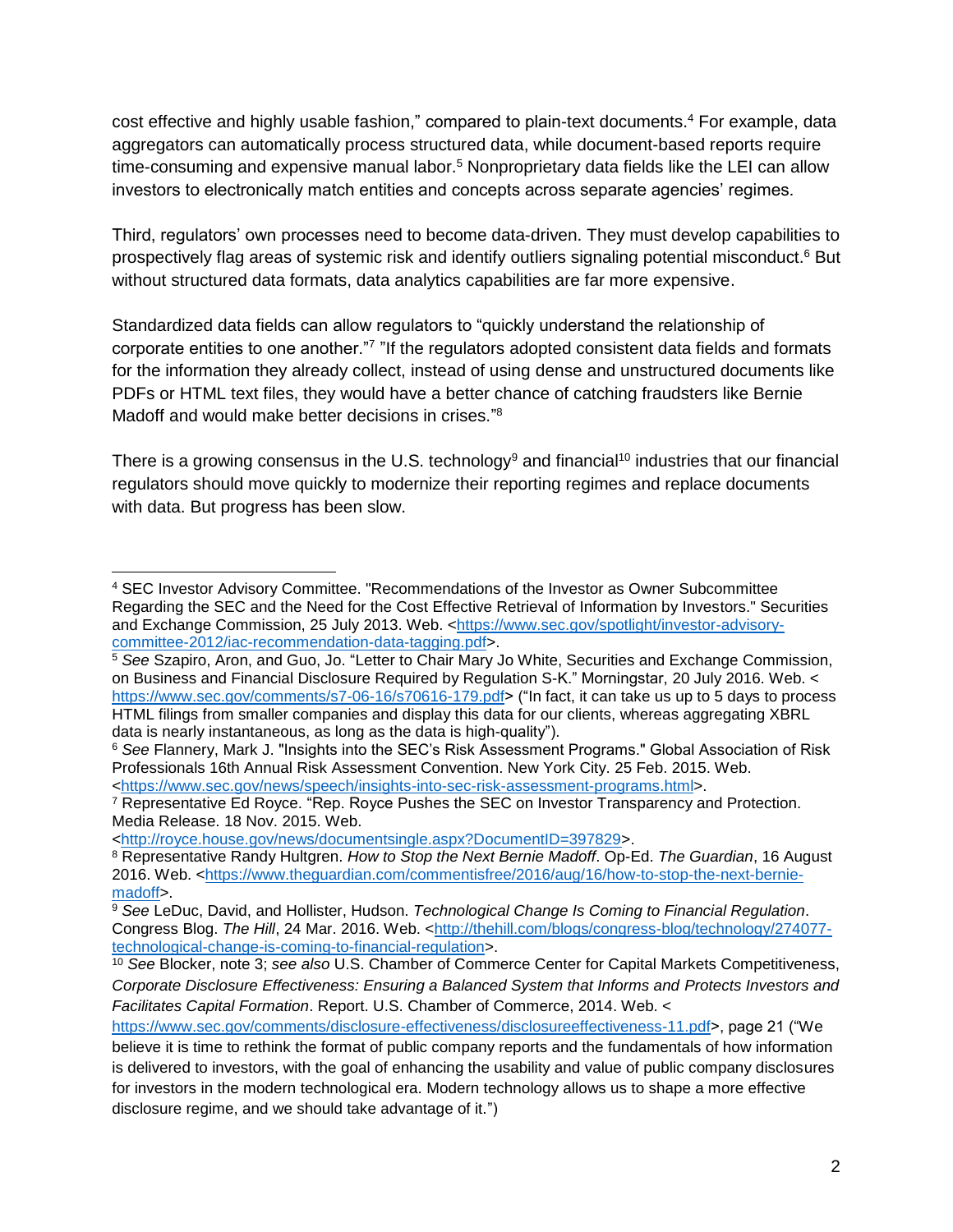cost effective and highly usable fashion," compared to plain-text documents.<sup>4</sup> For example, data aggregators can automatically process structured data, while document-based reports require time-consuming and expensive manual labor.<sup>5</sup> Nonproprietary data fields like the LEI can allow investors to electronically match entities and concepts across separate agencies' regimes.

Third, regulators' own processes need to become data-driven. They must develop capabilities to prospectively flag areas of systemic risk and identify outliers signaling potential misconduct.<sup>6</sup> But without structured data formats, data analytics capabilities are far more expensive.

Standardized data fields can allow regulators to "quickly understand the relationship of corporate entities to one another."<sup>7</sup> "If the regulators adopted consistent data fields and formats for the information they already collect, instead of using dense and unstructured documents like PDFs or HTML text files, they would have a better chance of catching fraudsters like Bernie Madoff and would make better decisions in crises."<sup>8</sup>

There is a growing consensus in the U.S. technology<sup>9</sup> and financial<sup>10</sup> industries that our financial regulators should move quickly to modernize their reporting regimes and replace documents with data. But progress has been slow.

[<http://royce.house.gov/news/documentsingle.aspx?DocumentID=397829>](http://royce.house.gov/news/documentsingle.aspx?DocumentID=397829).

 $\overline{a}$ <sup>4</sup> SEC Investor Advisory Committee. "Recommendations of the Investor as Owner Subcommittee Regarding the SEC and the Need for the Cost Effective Retrieval of Information by Investors." Securities and Exchange Commission, 25 July 2013. Web. [<https://www.sec.gov/spotlight/investor-advisory](https://www.sec.gov/spotlight/investor-advisory-committee-2012/iac-recommendation-data-tagging.pdf)[committee-2012/iac-recommendation-data-tagging.pdf>](https://www.sec.gov/spotlight/investor-advisory-committee-2012/iac-recommendation-data-tagging.pdf).

<sup>5</sup> *See* Szapiro, Aron, and Guo, Jo. "Letter to Chair Mary Jo White, Securities and Exchange Commission, on Business and Financial Disclosure Required by Regulation S-K." Morningstar, 20 July 2016. Web. < [https://www.sec.gov/comments/s7-06-16/s70616-179.pdf>](https://www.sec.gov/comments/s7-06-16/s70616-179.pdf) ("In fact, it can take us up to 5 days to process HTML filings from smaller companies and display this data for our clients, whereas aggregating XBRL data is nearly instantaneous, as long as the data is high-quality").

<sup>6</sup> *See* Flannery, Mark J. "Insights into the SEC's Risk Assessment Programs." Global Association of Risk Professionals 16th Annual Risk Assessment Convention. New York City. 25 Feb. 2015. Web. [<https://www.sec.gov/news/speech/insights-into-sec-risk-assessment-programs.html>](https://www.sec.gov/news/speech/insights-into-sec-risk-assessment-programs.html).

<sup>7</sup> Representative Ed Royce. "Rep. Royce Pushes the SEC on Investor Transparency and Protection. Media Release. 18 Nov. 2015. Web.

<sup>8</sup> Representative Randy Hultgren. *How to Stop the Next Bernie Madoff*. Op-Ed. *The Guardian*, 16 August 2016. Web. [<https://www.theguardian.com/commentisfree/2016/aug/16/how-to-stop-the-next-bernie](https://www.theguardian.com/commentisfree/2016/aug/16/how-to-stop-the-next-bernie-madoff)[madoff>](https://www.theguardian.com/commentisfree/2016/aug/16/how-to-stop-the-next-bernie-madoff).

<sup>9</sup> *See* LeDuc, David, and Hollister, Hudson. *Technological Change Is Coming to Financial Regulation*. Congress Blog. *The Hill*, 24 Mar. 2016. Web. [<http://thehill.com/blogs/congress-blog/technology/274077](http://thehill.com/blogs/congress-blog/technology/274077-technological-change-is-coming-to-financial-regulation) [technological-change-is-coming-to-financial-regulation>](http://thehill.com/blogs/congress-blog/technology/274077-technological-change-is-coming-to-financial-regulation).

<sup>10</sup> *See* Blocker, note 3; *see also* U.S. Chamber of Commerce Center for Capital Markets Competitiveness, *Corporate Disclosure Effectiveness: Ensuring a Balanced System that Informs and Protects Investors and Facilitates Capital Formation*. Report. U.S. Chamber of Commerce, 2014. Web. <

[https://www.sec.gov/comments/disclosure-effectiveness/disclosureeffectiveness-11.pdf>](https://www.sec.gov/comments/disclosure-effectiveness/disclosureeffectiveness-11.pdf), page 21 ("We

believe it is time to rethink the format of public company reports and the fundamentals of how information is delivered to investors, with the goal of enhancing the usability and value of public company disclosures for investors in the modern technological era. Modern technology allows us to shape a more effective disclosure regime, and we should take advantage of it.")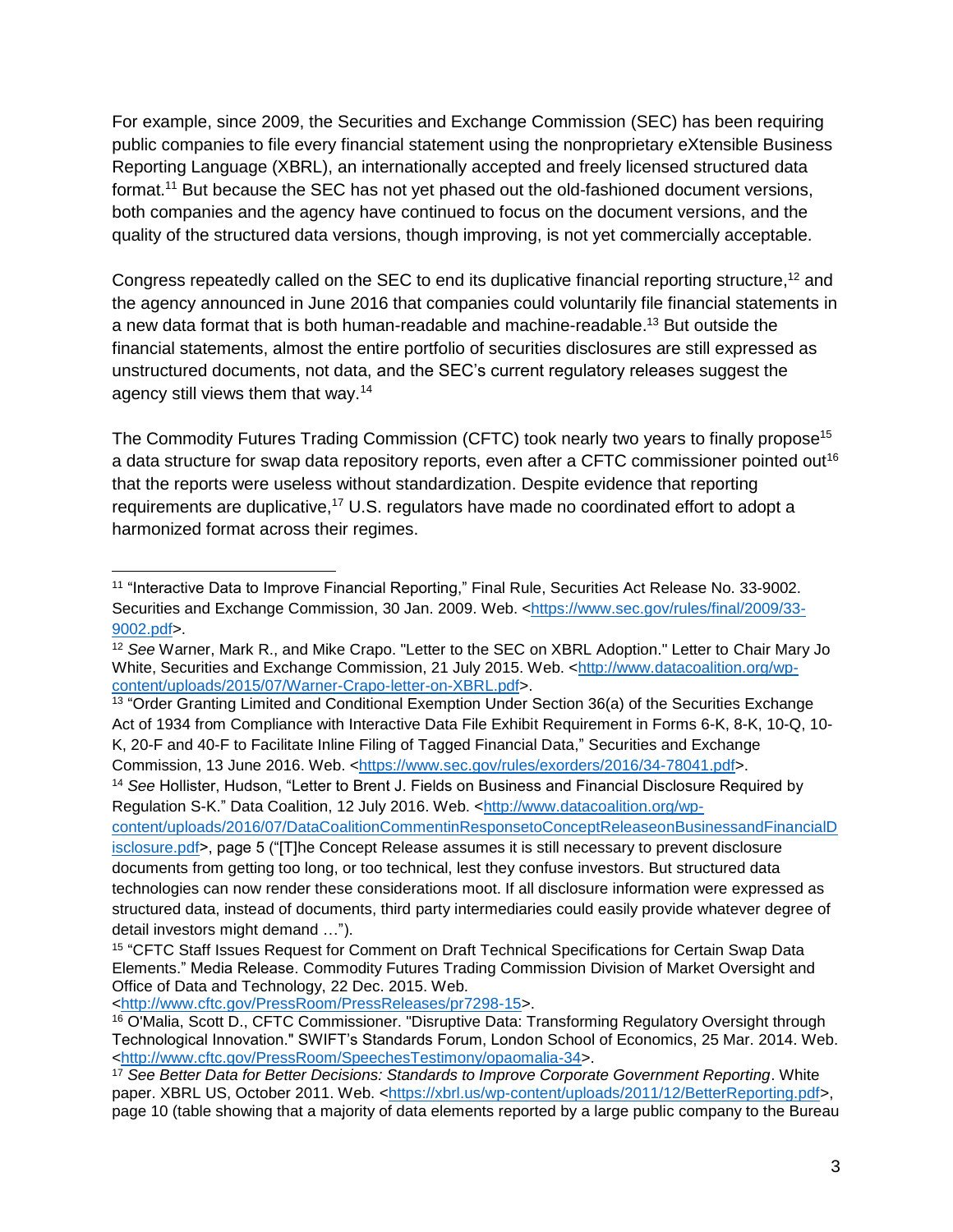For example, since 2009, the Securities and Exchange Commission (SEC) has been requiring public companies to file every financial statement using the nonproprietary eXtensible Business Reporting Language (XBRL), an internationally accepted and freely licensed structured data format.<sup>11</sup> But because the SEC has not yet phased out the old-fashioned document versions, both companies and the agency have continued to focus on the document versions, and the quality of the structured data versions, though improving, is not yet commercially acceptable.

Congress repeatedly called on the SEC to end its duplicative financial reporting structure,<sup>12</sup> and the agency announced in June 2016 that companies could voluntarily file financial statements in a new data format that is both human-readable and machine-readable.<sup>13</sup> But outside the financial statements, almost the entire portfolio of securities disclosures are still expressed as unstructured documents, not data, and the SEC's current regulatory releases suggest the agency still views them that way.<sup>14</sup>

The Commodity Futures Trading Commission (CFTC) took nearly two years to finally propose<sup>15</sup> a data structure for swap data repository reports, even after a CFTC commissioner pointed out<sup>16</sup> that the reports were useless without standardization. Despite evidence that reporting requirements are duplicative,<sup>17</sup> U.S. regulators have made no coordinated effort to adopt a harmonized format across their regimes.

[content/uploads/2016/07/DataCoalitionCommentinResponsetoConceptReleaseonBusinessandFinancialD](http://www.datacoalition.org/wp-content/uploads/2016/07/DataCoalitionCommentinResponsetoConceptReleaseonBusinessandFinancialDisclosure.pdf)

[<http://www.cftc.gov/PressRoom/PressReleases/pr7298-15>](http://www.cftc.gov/PressRoom/PressReleases/pr7298-15).

 <sup>11</sup> "Interactive Data to Improve Financial Reporting," Final Rule, Securities Act Release No. 33-9002. Securities and Exchange Commission, 30 Jan. 2009. Web. [<https://www.sec.gov/rules/final/2009/33-](https://www.sec.gov/rules/final/2009/33-9002.pdf) [9002.pdf>](https://www.sec.gov/rules/final/2009/33-9002.pdf).

<sup>12</sup> *See* Warner, Mark R., and Mike Crapo. "Letter to the SEC on XBRL Adoption." Letter to Chair Mary Jo White, Securities and Exchange Commission, 21 July 2015. Web. [<http://www.datacoalition.org/wp](http://www.datacoalition.org/wp-content/uploads/2015/07/Warner-Crapo-letter-on-XBRL.pdf)[content/uploads/2015/07/Warner-Crapo-letter-on-XBRL.pdf>](http://www.datacoalition.org/wp-content/uploads/2015/07/Warner-Crapo-letter-on-XBRL.pdf).

<sup>&</sup>lt;sup>13</sup> "Order Granting Limited and Conditional Exemption Under Section 36(a) of the Securities Exchange Act of 1934 from Compliance with Interactive Data File Exhibit Requirement in Forms 6-K, 8-K, 10-Q, 10- K, 20-F and 40-F to Facilitate Inline Filing of Tagged Financial Data," Securities and Exchange Commission, 13 June 2016. Web. [<https://www.sec.gov/rules/exorders/2016/34-78041.pdf>](https://www.sec.gov/rules/exorders/2016/34-78041.pdf).

<sup>14</sup> *See* Hollister, Hudson, "Letter to Brent J. Fields on Business and Financial Disclosure Required by Regulation S-K." Data Coalition, 12 July 2016. Web. [<http://www.datacoalition.org/wp-](http://www.datacoalition.org/wp-content/uploads/2016/07/DataCoalitionCommentinResponsetoConceptReleaseonBusinessandFinancialDisclosure.pdf)

[isclosure.pdf>](http://www.datacoalition.org/wp-content/uploads/2016/07/DataCoalitionCommentinResponsetoConceptReleaseonBusinessandFinancialDisclosure.pdf), page 5 ("[T]he Concept Release assumes it is still necessary to prevent disclosure documents from getting too long, or too technical, lest they confuse investors. But structured data technologies can now render these considerations moot. If all disclosure information were expressed as structured data, instead of documents, third party intermediaries could easily provide whatever degree of detail investors might demand …").

<sup>&</sup>lt;sup>15</sup> "CFTC Staff Issues Request for Comment on Draft Technical Specifications for Certain Swap Data Elements." Media Release. Commodity Futures Trading Commission Division of Market Oversight and Office of Data and Technology, 22 Dec. 2015. Web.

<sup>16</sup> O'Malia, Scott D., CFTC Commissioner. "Disruptive Data: Transforming Regulatory Oversight through Technological Innovation." SWIFT's Standards Forum, London School of Economics, 25 Mar. 2014. Web. [<http://www.cftc.gov/PressRoom/SpeechesTestimony/opaomalia-34>](http://www.cftc.gov/PressRoom/SpeechesTestimony/opaomalia-34).

<sup>17</sup> *See Better Data for Better Decisions: Standards to Improve Corporate Government Reporting*. White paper. XBRL US, October 2011. Web. [<https://xbrl.us/wp-content/uploads/2011/12/BetterReporting.pdf>](https://xbrl.us/wp-content/uploads/2011/12/BetterReporting.pdf), page 10 (table showing that a majority of data elements reported by a large public company to the Bureau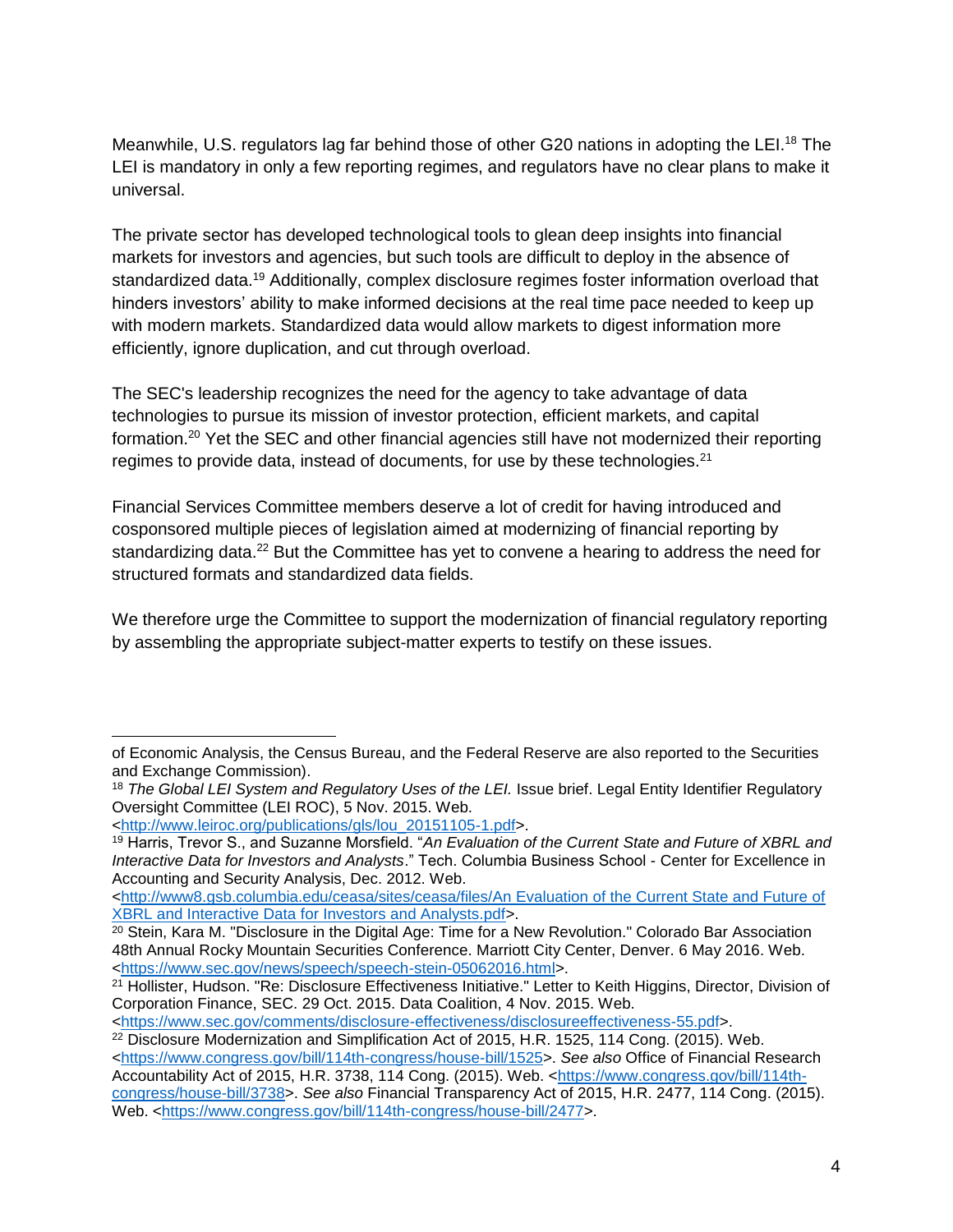Meanwhile, U.S. regulators lag far behind those of other G20 nations in adopting the LEI.<sup>18</sup> The LEI is mandatory in only a few reporting regimes, and regulators have no clear plans to make it universal.

The private sector has developed technological tools to glean deep insights into financial markets for investors and agencies, but such tools are difficult to deploy in the absence of standardized data.<sup>19</sup> Additionally, complex disclosure regimes foster information overload that hinders investors' ability to make informed decisions at the real time pace needed to keep up with modern markets. Standardized data would allow markets to digest information more efficiently, ignore duplication, and cut through overload.

The SEC's leadership recognizes the need for the agency to take advantage of data technologies to pursue its mission of investor protection, efficient markets, and capital formation.<sup>20</sup> Yet the SEC and other financial agencies still have not modernized their reporting regimes to provide data, instead of documents, for use by these technologies.<sup>21</sup>

Financial Services Committee members deserve a lot of credit for having introduced and cosponsored multiple pieces of legislation aimed at modernizing of financial reporting by standardizing data.<sup>22</sup> But the Committee has yet to convene a hearing to address the need for structured formats and standardized data fields.

We therefore urge the Committee to support the modernization of financial regulatory reporting by assembling the appropriate subject-matter experts to testify on these issues.

 $\overline{a}$ of Economic Analysis, the Census Bureau, and the Federal Reserve are also reported to the Securities and Exchange Commission).

<sup>18</sup> *The Global LEI System and Regulatory Uses of the LEI.* Issue brief. Legal Entity Identifier Regulatory Oversight Committee (LEI ROC), 5 Nov. 2015. Web.

[<sup>&</sup>lt;http://www.leiroc.org/publications/gls/lou\\_20151105-1.pdf>](http://www.leiroc.org/publications/gls/lou_20151105-1.pdf).

<sup>19</sup> Harris, Trevor S., and Suzanne Morsfield. "*An Evaluation of the Current State and Future of XBRL and Interactive Data for Investors and Analysts*." Tech. Columbia Business School - Center for Excellence in Accounting and Security Analysis, Dec. 2012. Web.

[<sup>&</sup>lt;http://www8.gsb.columbia.edu/ceasa/sites/ceasa/files/An Evaluation of the Current State and Future of](http://www8.gsb.columbia.edu/ceasa/sites/ceasa/files/An%20Evaluation%20of%20the%20Current%20State%20and%20Future%20of%20XBRL%20and%20Interactive%20Data%20for%20Investors%20and%20Analysts.pdf)  [XBRL and Interactive Data for Investors and Analysts.pdf>](http://www8.gsb.columbia.edu/ceasa/sites/ceasa/files/An%20Evaluation%20of%20the%20Current%20State%20and%20Future%20of%20XBRL%20and%20Interactive%20Data%20for%20Investors%20and%20Analysts.pdf).

<sup>&</sup>lt;sup>20</sup> Stein, Kara M. "Disclosure in the Digital Age: Time for a New Revolution." Colorado Bar Association 48th Annual Rocky Mountain Securities Conference. Marriott City Center, Denver. 6 May 2016. Web. [<https://www.sec.gov/news/speech/speech-stein-05062016.html>](https://www.sec.gov/news/speech/speech-stein-05062016.html).

<sup>21</sup> Hollister, Hudson. "Re: Disclosure Effectiveness Initiative." Letter to Keith Higgins, Director, Division of Corporation Finance, SEC. 29 Oct. 2015. Data Coalition, 4 Nov. 2015. Web.

[<sup>&</sup>lt;https://www.sec.gov/comments/disclosure-effectiveness/disclosureeffectiveness-55.pdf>](https://www.sec.gov/comments/disclosure-effectiveness/disclosureeffectiveness-55.pdf).

<sup>22</sup> Disclosure Modernization and Simplification Act of 2015, H.R. 1525, 114 Cong. (2015). Web. [<https://www.congress.gov/bill/114th-congress/house-bill/1525>](https://www.congress.gov/bill/114th-congress/house-bill/1525). *See also* Office of Financial Research Accountability Act of 2015, H.R. 3738, 114 Cong. (2015). Web. [<https://www.congress.gov/bill/114th](https://www.congress.gov/bill/114th-congress/house-bill/3738)[congress/house-bill/3738>](https://www.congress.gov/bill/114th-congress/house-bill/3738). *See also* Financial Transparency Act of 2015, H.R. 2477, 114 Cong. (2015). Web. [<https://www.congress.gov/bill/114th-congress/house-bill/2477>](https://www.congress.gov/bill/114th-congress/house-bill/2477).